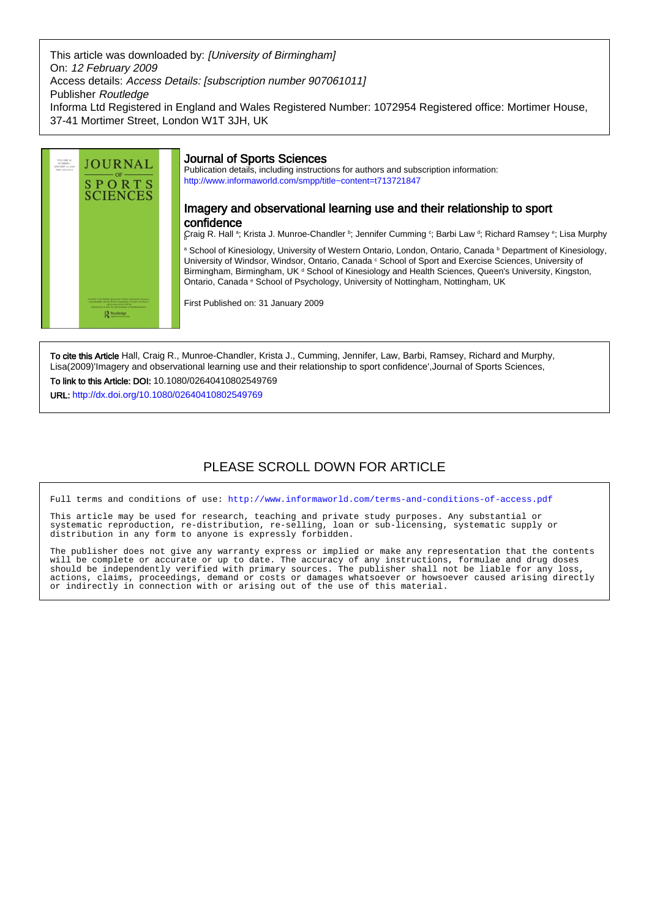This article was downloaded by: [University of Birmingham] On: 12 February 2009 Access details: Access Details: [subscription number 907061011] Publisher Routledge Informa Ltd Registered in England and Wales Registered Number: 1072954 Registered office: Mortimer House, 37-41 Mortimer Street, London W1T 3JH, UK



To cite this Article Hall, Craig R., Munroe-Chandler, Krista J., Cumming, Jennifer, Law, Barbi, Ramsey, Richard and Murphy, Lisa(2009)'Imagery and observational learning use and their relationship to sport confidence',Journal of Sports Sciences, To link to this Article: DOI: 10.1080/02640410802549769

URL: <http://dx.doi.org/10.1080/02640410802549769>

# PLEASE SCROLL DOWN FOR ARTICLE

Full terms and conditions of use:<http://www.informaworld.com/terms-and-conditions-of-access.pdf>

This article may be used for research, teaching and private study purposes. Any substantial or systematic reproduction, re-distribution, re-selling, loan or sub-licensing, systematic supply or distribution in any form to anyone is expressly forbidden.

The publisher does not give any warranty express or implied or make any representation that the contents will be complete or accurate or up to date. The accuracy of any instructions, formulae and drug doses should be independently verified with primary sources. The publisher shall not be liable for any loss, actions, claims, proceedings, demand or costs or damages whatsoever or howsoever caused arising directly or indirectly in connection with or arising out of the use of this material.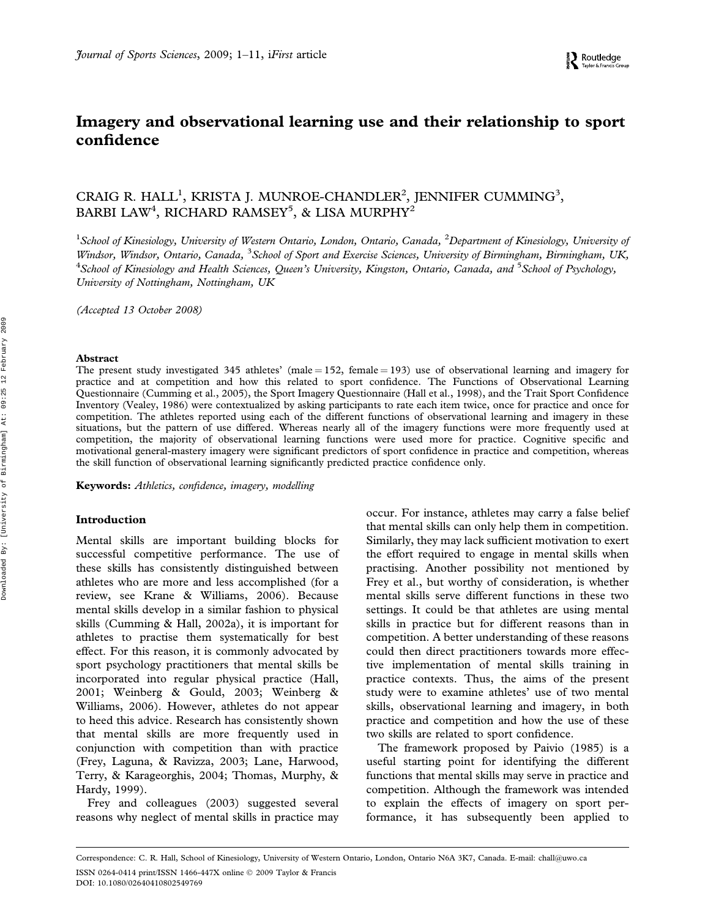# Imagery and observational learning use and their relationship to sport confidence

# CRAIG R. HALL<sup>1</sup>, KRISTA J. MUNROE-CHANDLER<sup>2</sup>, JENNIFER CUMMING<sup>3</sup>, BARBI LAW<sup>4</sup>, RICHARD RAMSEY<sup>5</sup>, & LISA MURPHY<sup>2</sup>

<sup>1</sup>School of Kinesiology, University of Western Ontario, London, Ontario, Canada, <sup>2</sup>Department of Kinesiology, University oj Windsor, Windsor, Ontario, Canada, <sup>3</sup>School of Sport and Exercise Sciences, University of Birmingham, Birmingham, UK, <sup>4</sup>School of Kinesiology and Health Sciences, Queen's University, Kingston, Ontario, Canada, and <sup>5</sup>School of Psychology, University of Nottingham, Nottingham, UK

(Accepted 13 October 2008)

#### Abstract

The present study investigated 345 athletes' (male = 152, female = 193) use of observational learning and imagery for practice and at competition and how this related to sport confidence. The Functions of Observational Learning Questionnaire (Cumming et al., 2005), the Sport Imagery Questionnaire (Hall et al., 1998), and the Trait Sport Confidence Inventory (Vealey, 1986) were contextualized by asking participants to rate each item twice, once for practice and once for competition. The athletes reported using each of the different functions of observational learning and imagery in these situations, but the pattern of use differed. Whereas nearly all of the imagery functions were more frequently used at competition, the majority of observational learning functions were used more for practice. Cognitive specific and motivational general-mastery imagery were significant predictors of sport confidence in practice and competition, whereas the skill function of observational learning significantly predicted practice confidence only.

Keywords: Athletics, confidence, imagery, modelling

# Introduction

Mental skills are important building blocks for successful competitive performance. The use of these skills has consistently distinguished between athletes who are more and less accomplished (for a review, see Krane & Williams, 2006). Because mental skills develop in a similar fashion to physical skills (Cumming & Hall, 2002a), it is important for athletes to practise them systematically for best effect. For this reason, it is commonly advocated by sport psychology practitioners that mental skills be incorporated into regular physical practice (Hall, 2001; Weinberg & Gould, 2003; Weinberg & Williams, 2006). However, athletes do not appear to heed this advice. Research has consistently shown that mental skills are more frequently used in conjunction with competition than with practice (Frey, Laguna, & Ravizza, 2003; Lane, Harwood, Terry, & Karageorghis, 2004; Thomas, Murphy, & Hardy, 1999).

Frey and colleagues (2003) suggested several reasons why neglect of mental skills in practice may

occur. For instance, athletes may carry a false belief that mental skills can only help them in competition. Similarly, they may lack sufficient motivation to exert the effort required to engage in mental skills when practising. Another possibility not mentioned by Frey et al., but worthy of consideration, is whether mental skills serve different functions in these two settings. It could be that athletes are using mental skills in practice but for different reasons than in competition. A better understanding of these reasons could then direct practitioners towards more effective implementation of mental skills training in practice contexts. Thus, the aims of the present study were to examine athletes' use of two mental skills, observational learning and imagery, in both practice and competition and how the use of these two skills are related to sport confidence.

The framework proposed by Paivio (1985) is a useful starting point for identifying the different functions that mental skills may serve in practice and competition. Although the framework was intended to explain the effects of imagery on sport performance, it has subsequently been applied to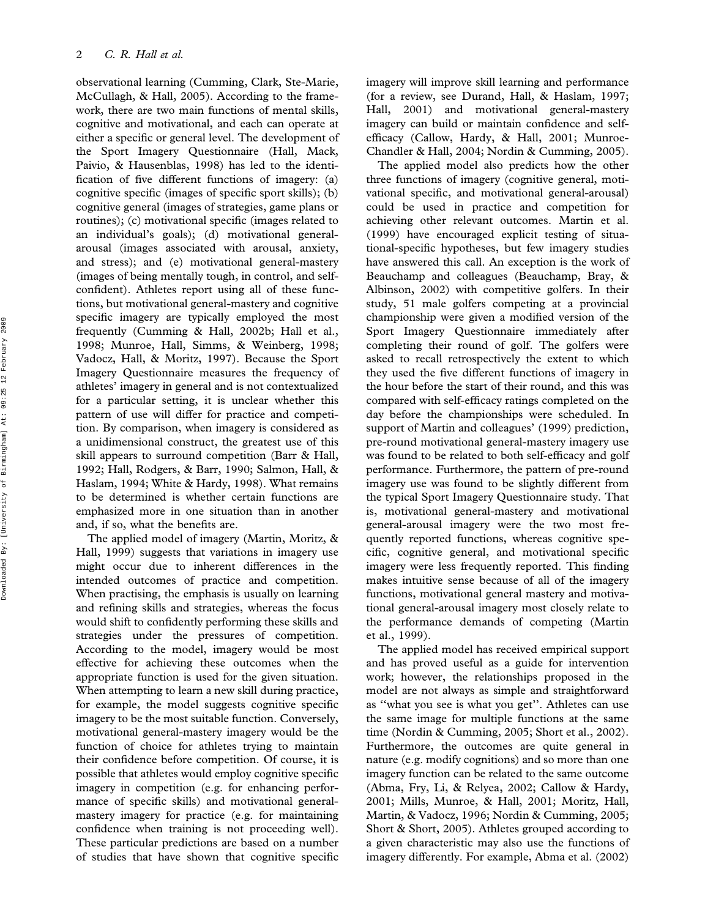observational learning (Cumming, Clark, Ste-Marie, McCullagh, & Hall, 2005). According to the framework, there are two main functions of mental skills, cognitive and motivational, and each can operate at either a specific or general level. The development of the Sport Imagery Questionnaire (Hall, Mack, Paivio, & Hausenblas, 1998) has led to the identification of five different functions of imagery: (a) cognitive specific (images of specific sport skills); (b) cognitive general (images of strategies, game plans or routines); (c) motivational specific (images related to an individual's goals); (d) motivational generalarousal (images associated with arousal, anxiety, and stress); and (e) motivational general-mastery (images of being mentally tough, in control, and selfconfident). Athletes report using all of these functions, but motivational general-mastery and cognitive specific imagery are typically employed the most frequently (Cumming & Hall, 2002b; Hall et al., 1998; Munroe, Hall, Simms, & Weinberg, 1998; Vadocz, Hall, & Moritz, 1997). Because the Sport Imagery Questionnaire measures the frequency of athletes' imagery in general and is not contextualized for a particular setting, it is unclear whether this pattern of use will differ for practice and competition. By comparison, when imagery is considered as a unidimensional construct, the greatest use of this skill appears to surround competition (Barr & Hall, 1992; Hall, Rodgers, & Barr, 1990; Salmon, Hall, & Haslam, 1994; White & Hardy, 1998). What remains to be determined is whether certain functions are emphasized more in one situation than in another and, if so, what the benefits are.

The applied model of imagery (Martin, Moritz, & Hall, 1999) suggests that variations in imagery use might occur due to inherent differences in the intended outcomes of practice and competition. When practising, the emphasis is usually on learning and refining skills and strategies, whereas the focus would shift to confidently performing these skills and strategies under the pressures of competition. According to the model, imagery would be most effective for achieving these outcomes when the appropriate function is used for the given situation. When attempting to learn a new skill during practice, for example, the model suggests cognitive specific imagery to be the most suitable function. Conversely, motivational general-mastery imagery would be the function of choice for athletes trying to maintain their confidence before competition. Of course, it is possible that athletes would employ cognitive specific imagery in competition (e.g. for enhancing performance of specific skills) and motivational generalmastery imagery for practice (e.g. for maintaining confidence when training is not proceeding well). These particular predictions are based on a number of studies that have shown that cognitive specific

imagery will improve skill learning and performance (for a review, see Durand, Hall, & Haslam, 1997; Hall, 2001) and motivational general-mastery imagery can build or maintain confidence and selfefficacy (Callow, Hardy, & Hall, 2001; Munroe-Chandler & Hall, 2004; Nordin & Cumming, 2005).

The applied model also predicts how the other three functions of imagery (cognitive general, motivational specific, and motivational general-arousal) could be used in practice and competition for achieving other relevant outcomes. Martin et al. (1999) have encouraged explicit testing of situational-specific hypotheses, but few imagery studies have answered this call. An exception is the work of Beauchamp and colleagues (Beauchamp, Bray, & Albinson, 2002) with competitive golfers. In their study, 51 male golfers competing at a provincial championship were given a modified version of the Sport Imagery Questionnaire immediately after completing their round of golf. The golfers were asked to recall retrospectively the extent to which they used the five different functions of imagery in the hour before the start of their round, and this was compared with self-efficacy ratings completed on the day before the championships were scheduled. In support of Martin and colleagues' (1999) prediction, pre-round motivational general-mastery imagery use was found to be related to both self-efficacy and golf performance. Furthermore, the pattern of pre-round imagery use was found to be slightly different from the typical Sport Imagery Questionnaire study. That is, motivational general-mastery and motivational general-arousal imagery were the two most frequently reported functions, whereas cognitive specific, cognitive general, and motivational specific imagery were less frequently reported. This finding makes intuitive sense because of all of the imagery functions, motivational general mastery and motivational general-arousal imagery most closely relate to the performance demands of competing (Martin et al., 1999).

The applied model has received empirical support and has proved useful as a guide for intervention work; however, the relationships proposed in the model are not always as simple and straightforward as ''what you see is what you get''. Athletes can use the same image for multiple functions at the same time (Nordin & Cumming, 2005; Short et al., 2002). Furthermore, the outcomes are quite general in nature (e.g. modify cognitions) and so more than one imagery function can be related to the same outcome (Abma, Fry, Li, & Relyea, 2002; Callow & Hardy, 2001; Mills, Munroe, & Hall, 2001; Moritz, Hall, Martin, & Vadocz, 1996; Nordin & Cumming, 2005; Short & Short, 2005). Athletes grouped according to a given characteristic may also use the functions of imagery differently. For example, Abma et al. (2002)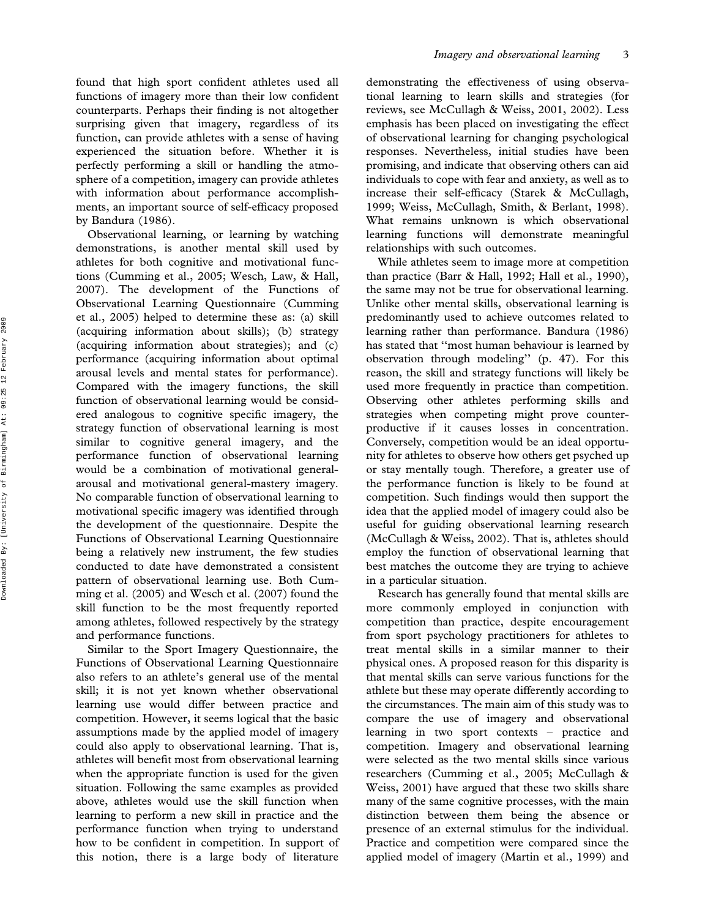Downloaded By: [University of Birmingham] At: 09:25 12 February 2009

Downloaded By: [University

of Birmingham] At: 09:25

2009

12 February

found that high sport confident athletes used all functions of imagery more than their low confident counterparts. Perhaps their finding is not altogether surprising given that imagery, regardless of its function, can provide athletes with a sense of having experienced the situation before. Whether it is perfectly performing a skill or handling the atmosphere of a competition, imagery can provide athletes with information about performance accomplishments, an important source of self-efficacy proposed by Bandura (1986).

Observational learning, or learning by watching demonstrations, is another mental skill used by athletes for both cognitive and motivational functions (Cumming et al., 2005; Wesch, Law, & Hall, 2007). The development of the Functions of Observational Learning Questionnaire (Cumming et al., 2005) helped to determine these as: (a) skill (acquiring information about skills); (b) strategy (acquiring information about strategies); and (c) performance (acquiring information about optimal arousal levels and mental states for performance). Compared with the imagery functions, the skill function of observational learning would be considered analogous to cognitive specific imagery, the strategy function of observational learning is most similar to cognitive general imagery, and the performance function of observational learning would be a combination of motivational generalarousal and motivational general-mastery imagery. No comparable function of observational learning to motivational specific imagery was identified through the development of the questionnaire. Despite the Functions of Observational Learning Questionnaire being a relatively new instrument, the few studies conducted to date have demonstrated a consistent pattern of observational learning use. Both Cumming et al. (2005) and Wesch et al. (2007) found the skill function to be the most frequently reported among athletes, followed respectively by the strategy and performance functions.

Similar to the Sport Imagery Questionnaire, the Functions of Observational Learning Questionnaire also refers to an athlete's general use of the mental skill; it is not yet known whether observational learning use would differ between practice and competition. However, it seems logical that the basic assumptions made by the applied model of imagery could also apply to observational learning. That is, athletes will benefit most from observational learning when the appropriate function is used for the given situation. Following the same examples as provided above, athletes would use the skill function when learning to perform a new skill in practice and the performance function when trying to understand how to be confident in competition. In support of this notion, there is a large body of literature

demonstrating the effectiveness of using observational learning to learn skills and strategies (for reviews, see McCullagh & Weiss, 2001, 2002). Less emphasis has been placed on investigating the effect of observational learning for changing psychological responses. Nevertheless, initial studies have been promising, and indicate that observing others can aid individuals to cope with fear and anxiety, as well as to increase their self-efficacy (Starek & McCullagh, 1999; Weiss, McCullagh, Smith, & Berlant, 1998). What remains unknown is which observational learning functions will demonstrate meaningful relationships with such outcomes.

While athletes seem to image more at competition than practice (Barr & Hall, 1992; Hall et al., 1990), the same may not be true for observational learning. Unlike other mental skills, observational learning is predominantly used to achieve outcomes related to learning rather than performance. Bandura (1986) has stated that ''most human behaviour is learned by observation through modeling'' (p. 47). For this reason, the skill and strategy functions will likely be used more frequently in practice than competition. Observing other athletes performing skills and strategies when competing might prove counterproductive if it causes losses in concentration. Conversely, competition would be an ideal opportunity for athletes to observe how others get psyched up or stay mentally tough. Therefore, a greater use of the performance function is likely to be found at competition. Such findings would then support the idea that the applied model of imagery could also be useful for guiding observational learning research (McCullagh & Weiss, 2002). That is, athletes should employ the function of observational learning that best matches the outcome they are trying to achieve in a particular situation.

Research has generally found that mental skills are more commonly employed in conjunction with competition than practice, despite encouragement from sport psychology practitioners for athletes to treat mental skills in a similar manner to their physical ones. A proposed reason for this disparity is that mental skills can serve various functions for the athlete but these may operate differently according to the circumstances. The main aim of this study was to compare the use of imagery and observational learning in two sport contexts – practice and competition. Imagery and observational learning were selected as the two mental skills since various researchers (Cumming et al., 2005; McCullagh & Weiss, 2001) have argued that these two skills share many of the same cognitive processes, with the main distinction between them being the absence or presence of an external stimulus for the individual. Practice and competition were compared since the applied model of imagery (Martin et al., 1999) and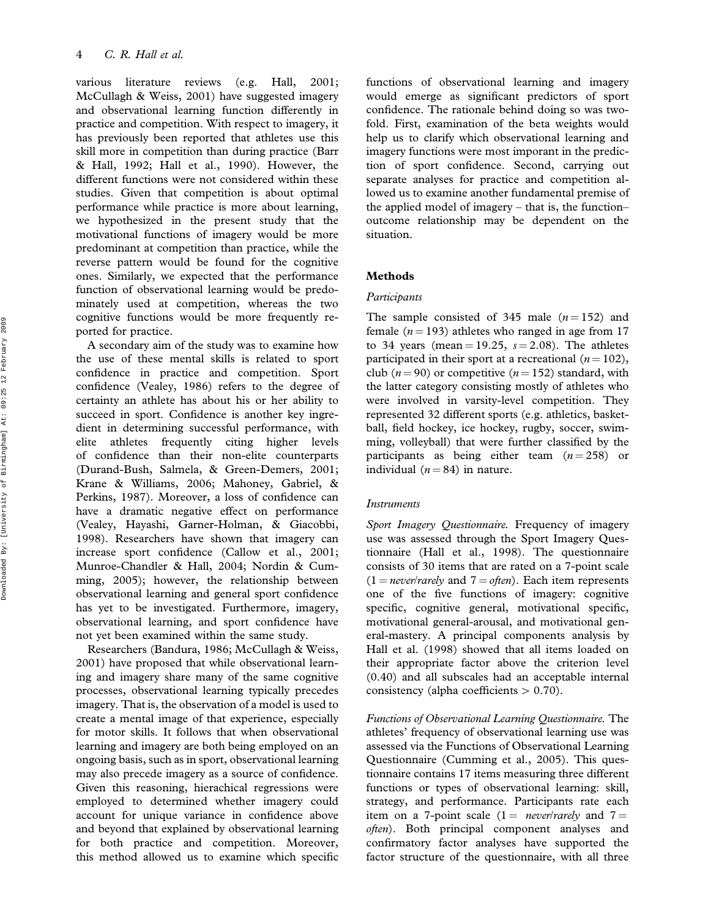various literature reviews (e.g. Hall, 2001; McCullagh & Weiss, 2001) have suggested imagery and observational learning function differently in practice and competition. With respect to imagery, it has previously been reported that athletes use this skill more in competition than during practice (Barr & Hall, 1992; Hall et al., 1990). However, the different functions were not considered within these studies. Given that competition is about optimal performance while practice is more about learning, we hypothesized in the present study that the motivational functions of imagery would be more predominant at competition than practice, while the reverse pattern would be found for the cognitive ones. Similarly, we expected that the performance function of observational learning would be predominately used at competition, whereas the two cognitive functions would be more frequently reported for practice.

A secondary aim of the study was to examine how the use of these mental skills is related to sport confidence in practice and competition. Sport confidence (Vealey, 1986) refers to the degree of certainty an athlete has about his or her ability to succeed in sport. Confidence is another key ingredient in determining successful performance, with elite athletes frequently citing higher levels of confidence than their non-elite counterparts (Durand-Bush, Salmela, & Green-Demers, 2001; Krane & Williams, 2006; Mahoney, Gabriel, & Perkins, 1987). Moreover, a loss of confidence can have a dramatic negative effect on performance (Vealey, Hayashi, Garner-Holman, & Giacobbi, 1998). Researchers have shown that imagery can increase sport confidence (Callow et al., 2001; Munroe-Chandler & Hall, 2004; Nordin & Cumming, 2005); however, the relationship between observational learning and general sport confidence has yet to be investigated. Furthermore, imagery, observational learning, and sport confidence have not yet been examined within the same study.

Researchers (Bandura, 1986; McCullagh & Weiss, 2001) have proposed that while observational learning and imagery share many of the same cognitive processes, observational learning typically precedes imagery. That is, the observation of a model is used to create a mental image of that experience, especially for motor skills. It follows that when observational learning and imagery are both being employed on an ongoing basis, such as in sport, observational learning may also precede imagery as a source of confidence. Given this reasoning, hierachical regressions were employed to determined whether imagery could account for unique variance in confidence above and beyond that explained by observational learning for both practice and competition. Moreover, this method allowed us to examine which specific

functions of observational learning and imagery would emerge as significant predictors of sport confidence. The rationale behind doing so was twofold. First, examination of the beta weights would help us to clarify which observational learning and imagery functions were most imporant in the prediction of sport confidence. Second, carrying out separate analyses for practice and competition allowed us to examine another fundamental premise of the applied model of imagery – that is, the function– outcome relationship may be dependent on the situation.

## Methods

## Participants

The sample consisted of 345 male  $(n = 152)$  and female ( $n = 193$ ) athletes who ranged in age from 17 to 34 years (mean = 19.25,  $s = 2.08$ ). The athletes participated in their sport at a recreational  $(n = 102)$ , club ( $n = 90$ ) or competitive ( $n = 152$ ) standard, with the latter category consisting mostly of athletes who were involved in varsity-level competition. They represented 32 different sports (e.g. athletics, basketball, field hockey, ice hockey, rugby, soccer, swimming, volleyball) that were further classified by the participants as being either team  $(n=258)$  or individual ( $n = 84$ ) in nature.

### Instruments

Sport Imagery Questionnaire. Frequency of imagery use was assessed through the Sport Imagery Questionnaire (Hall et al., 1998). The questionnaire consists of 30 items that are rated on a 7-point scale  $(1 = never / rarely$  and  $7 = often)$ . Each item represents one of the five functions of imagery: cognitive specific, cognitive general, motivational specific, motivational general-arousal, and motivational general-mastery. A principal components analysis by Hall et al. (1998) showed that all items loaded on their appropriate factor above the criterion level (0.40) and all subscales had an acceptable internal consistency (alpha coefficients  $> 0.70$ ).

Functions of Observational Learning Questionnaire. The athletes' frequency of observational learning use was assessed via the Functions of Observational Learning Questionnaire (Cumming et al., 2005). This questionnaire contains 17 items measuring three different functions or types of observational learning: skill, strategy, and performance. Participants rate each item on a 7-point scale  $(1 = never / rarely$  and  $7 =$ often). Both principal component analyses and confirmatory factor analyses have supported the factor structure of the questionnaire, with all three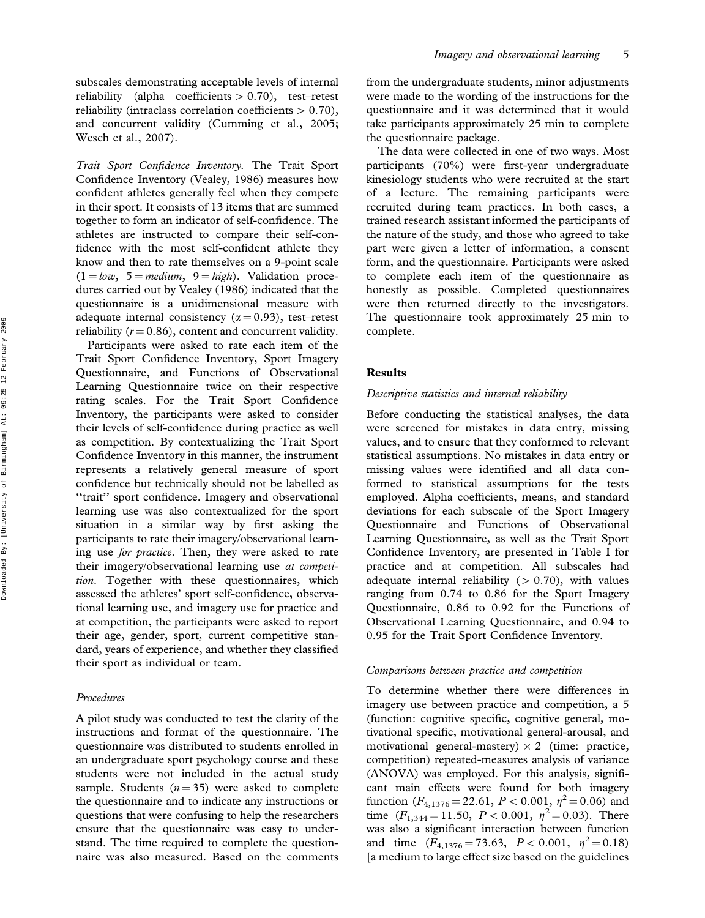Downloaded By: [University of Birmingham] At: 09:25 12 February 2009

Downloaded By: [University

of Birmingham] At: 09:25

2009

12 February

subscales demonstrating acceptable levels of internal reliability (alpha coefficients  $> 0.70$ ), test–retest reliability (intraclass correlation coefficients  $> 0.70$ ), and concurrent validity (Cumming et al., 2005; Wesch et al., 2007).

Trait Sport Confidence Inventory. The Trait Sport Confidence Inventory (Vealey, 1986) measures how confident athletes generally feel when they compete in their sport. It consists of 13 items that are summed together to form an indicator of self-confidence. The athletes are instructed to compare their self-confidence with the most self-confident athlete they know and then to rate themselves on a 9-point scale  $(1 = low, 5 = medium, 9 = high)$ . Validation procedures carried out by Vealey (1986) indicated that the questionnaire is a unidimensional measure with adequate internal consistency ( $\alpha = 0.93$ ), test–retest reliability ( $r = 0.86$ ), content and concurrent validity.

Participants were asked to rate each item of the Trait Sport Confidence Inventory, Sport Imagery Questionnaire, and Functions of Observational Learning Questionnaire twice on their respective rating scales. For the Trait Sport Confidence Inventory, the participants were asked to consider their levels of self-confidence during practice as well as competition. By contextualizing the Trait Sport Confidence Inventory in this manner, the instrument represents a relatively general measure of sport confidence but technically should not be labelled as ''trait'' sport confidence. Imagery and observational learning use was also contextualized for the sport situation in a similar way by first asking the participants to rate their imagery/observational learning use *for practice*. Then, they were asked to rate their imagery/observational learning use at competition. Together with these questionnaires, which assessed the athletes' sport self-confidence, observational learning use, and imagery use for practice and at competition, the participants were asked to report their age, gender, sport, current competitive standard, years of experience, and whether they classified their sport as individual or team.

## Procedures

A pilot study was conducted to test the clarity of the instructions and format of the questionnaire. The questionnaire was distributed to students enrolled in an undergraduate sport psychology course and these students were not included in the actual study sample. Students  $(n = 35)$  were asked to complete the questionnaire and to indicate any instructions or questions that were confusing to help the researchers ensure that the questionnaire was easy to understand. The time required to complete the questionnaire was also measured. Based on the comments

from the undergraduate students, minor adjustments were made to the wording of the instructions for the questionnaire and it was determined that it would take participants approximately 25 min to complete the questionnaire package.

The data were collected in one of two ways. Most participants (70%) were first-year undergraduate kinesiology students who were recruited at the start of a lecture. The remaining participants were recruited during team practices. In both cases, a trained research assistant informed the participants of the nature of the study, and those who agreed to take part were given a letter of information, a consent form, and the questionnaire. Participants were asked to complete each item of the questionnaire as honestly as possible. Completed questionnaires were then returned directly to the investigators. The questionnaire took approximately 25 min to complete.

### Results

#### Descriptive statistics and internal reliability

Before conducting the statistical analyses, the data were screened for mistakes in data entry, missing values, and to ensure that they conformed to relevant statistical assumptions. No mistakes in data entry or missing values were identified and all data conformed to statistical assumptions for the tests employed. Alpha coefficients, means, and standard deviations for each subscale of the Sport Imagery Questionnaire and Functions of Observational Learning Questionnaire, as well as the Trait Sport Confidence Inventory, are presented in Table I for practice and at competition. All subscales had adequate internal reliability ( $> 0.70$ ), with values ranging from 0.74 to 0.86 for the Sport Imagery Questionnaire, 0.86 to 0.92 for the Functions of Observational Learning Questionnaire, and 0.94 to 0.95 for the Trait Sport Confidence Inventory.

## Comparisons between practice and competition

To determine whether there were differences in imagery use between practice and competition, a 5 (function: cognitive specific, cognitive general, motivational specific, motivational general-arousal, and motivational general-mastery)  $\times$  2 (time: practice, competition) repeated-measures analysis of variance (ANOVA) was employed. For this analysis, significant main effects were found for both imagery function  $(F_{4,1376} = 22.61, P < 0.001, \eta^2 = 0.06)$  and time  $(F_{1,344} = 11.50, P < 0.001, \eta^2 = 0.03)$ . There was also a significant interaction between function and time  $(F_{4,1376} = 73.63, P < 0.001, \eta^2 = 0.18)$ [a medium to large effect size based on the guidelines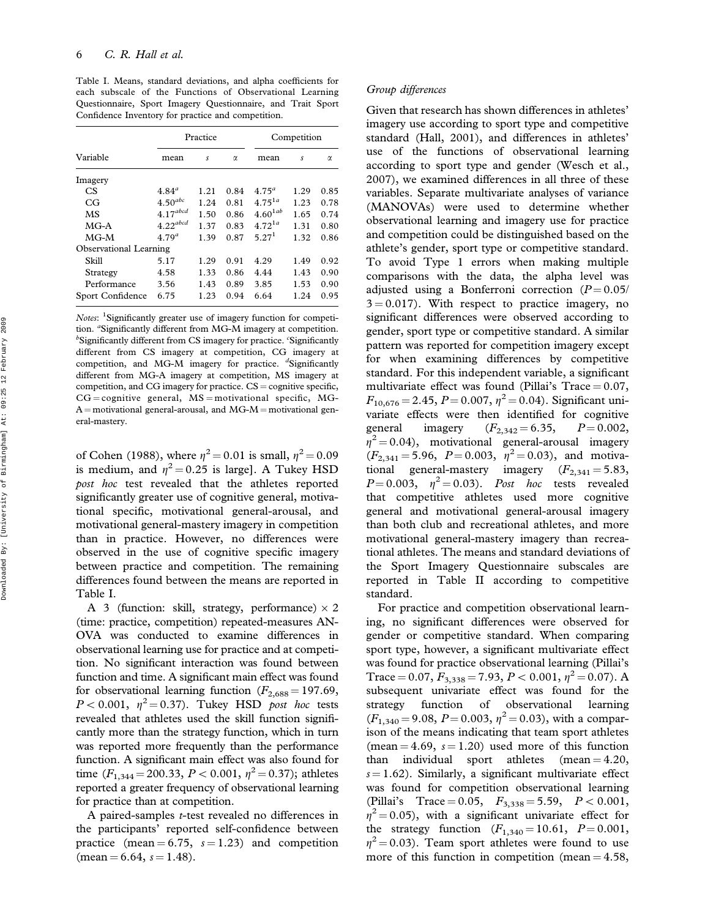Table I. Means, standard deviations, and alpha coefficients for each subscale of the Functions of Observational Learning Questionnaire, Sport Imagery Questionnaire, and Trait Sport Confidence Inventory for practice and competition.

|                               |               | Practice                    |          | Competition       |      |          |  |
|-------------------------------|---------------|-----------------------------|----------|-------------------|------|----------|--|
| Variable                      | mean          | $\mathcal{S}_{\mathcal{S}}$ | $\alpha$ | mean              | s    | $\alpha$ |  |
| Imagery                       |               |                             |          |                   |      |          |  |
| CS                            | $4.84^a$      | 1.21                        | 0.84     | $4.75^{a}$        | 1.29 | 0.85     |  |
| CG                            | $4.50^{abc}$  | 1.24                        | 0.81     | $4.75^{1a}$       | 1.23 | 0.78     |  |
| MS                            | $4.17^{abcd}$ | 1.50                        | 0.86     | $4.60^{1ab}$      | 1.65 | 0.74     |  |
| $MG-A$                        | $4.22^{abcd}$ | 1.37                        | 0.83     | $4.72^{1a}$       | 1.31 | 0.80     |  |
| $MG-M$                        | $4.79^{a}$    | 1.39                        | 0.87     | 5.27 <sup>1</sup> | 1.32 | 0.86     |  |
| <b>Observational Learning</b> |               |                             |          |                   |      |          |  |
| <b>Skill</b>                  | 5.17          | 1.29                        | 0.91     | 4.29              | 1.49 | 0.92     |  |
| Strategy                      | 4.58          | 1.33                        | 0.86     | 4.44              | 1.43 | 0.90     |  |
| Performance                   | 3.56          | 1.43                        | 0.89     | 3.85              | 1.53 | 0.90     |  |
| Sport Confidence              | 6.75          | 1.23                        | 0.94     | 6.64              | 1.24 | 0.95     |  |

Notes: <sup>1</sup>Significantly greater use of imagery function for competition. "Significantly different from MG-M imagery at competition.  ${}^{b}$ Significantly different from CS imagery for practice.  ${}^{c}$ Significantly different from CS imagery at competition, CG imagery at competition, and MG-M imagery for practice. <sup>d</sup>Significantly different from MG-A imagery at competition, MS imagery at competition, and CG imagery for practice.  $CS =$  cognitive specific,  $CG = cognitive$  general,  $MS = motivational$  specific, MG- $A =$  motivational general-arousal, and  $MG-M =$  motivational general-mastery.

of Cohen (1988), where  $\eta^2 = 0.01$  is small,  $\eta^2 = 0.09$ is medium, and  $\eta^2 = 0.25$  is large]. A Tukey HSD post hoc test revealed that the athletes reported significantly greater use of cognitive general, motivational specific, motivational general-arousal, and motivational general-mastery imagery in competition than in practice. However, no differences were observed in the use of cognitive specific imagery between practice and competition. The remaining differences found between the means are reported in Table I.

A 3 (function: skill, strategy, performance)  $\times$  2 (time: practice, competition) repeated-measures AN-OVA was conducted to examine differences in observational learning use for practice and at competition. No significant interaction was found between function and time. A significant main effect was found for observational learning function  $(F_{2,688} = 197.69)$ ,  $P < 0.001$ ,  $\eta^2 = 0.37$ ). Tukey HSD post hoc tests revealed that athletes used the skill function significantly more than the strategy function, which in turn was reported more frequently than the performance function. A significant main effect was also found for time  $(F_{1,344} = 200.33, P < 0.001, \eta^2 = 0.37)$ ; athletes reported a greater frequency of observational learning for practice than at competition.

A paired-samples t-test revealed no differences in the participants' reported self-confidence between practice (mean  $= 6.75$ ,  $s = 1.23$ ) and competition  $(mean = 6.64, s = 1.48).$ 

### Group differences

Given that research has shown differences in athletes' imagery use according to sport type and competitive standard (Hall, 2001), and differences in athletes' use of the functions of observational learning according to sport type and gender (Wesch et al., 2007), we examined differences in all three of these variables. Separate multivariate analyses of variance (MANOVAs) were used to determine whether observational learning and imagery use for practice and competition could be distinguished based on the athlete's gender, sport type or competitive standard. To avoid Type 1 errors when making multiple comparisons with the data, the alpha level was adjusted using a Bonferroni correction  $(P = 0.05)$  $3 = 0.017$ ). With respect to practice imagery, no significant differences were observed according to gender, sport type or competitive standard. A similar pattern was reported for competition imagery except for when examining differences by competitive standard. For this independent variable, a significant multivariate effect was found (Pillai's  $Trace = 0.07$ ,  $F_{10.676} = 2.45$ ,  $P = 0.007$ ,  $\eta^2 = 0.04$ ). Significant univariate effects were then identified for cognitive general imagery  $(F_{2,342} = 6.35, P = 0.002,$  $\eta^2$  = 0.04), motivational general-arousal imagery  $(F_{2,341} = 5.96, P = 0.003, \eta^2 = 0.03)$ , and motivational general-mastery imagery  $(F_{2,341} = 5.83,$  $P = 0.003$ ,  $\eta^2 = 0.03$ ). Post hoc tests revealed that competitive athletes used more cognitive general and motivational general-arousal imagery than both club and recreational athletes, and more motivational general-mastery imagery than recreational athletes. The means and standard deviations of the Sport Imagery Questionnaire subscales are reported in Table II according to competitive standard.

For practice and competition observational learning, no significant differences were observed for gender or competitive standard. When comparing sport type, however, a significant multivariate effect was found for practice observational learning (Pillai's Trace = 0.07,  $F_{3,338}$  = 7.93,  $P < 0.001$ ,  $\eta^2$  = 0.07). A subsequent univariate effect was found for the strategy function of observational learning  $(F_{1,340} = 9.08, P = 0.003, \eta^2 = 0.03)$ , with a comparison of the means indicating that team sport athletes  $(\text{mean} = 4.69, s = 1.20)$  used more of this function than individual sport athletes (mean  $=$  4.20,  $s = 1.62$ ). Similarly, a significant multivariate effect was found for competition observational learning (Pillai's Trace = 0.05,  $F_{3,338} = 5.59$ ,  $P < 0.001$ ,  $\eta^2$  = 0.05), with a significant univariate effect for the strategy function  $(F_{1,340} = 10.61, P = 0.001,$  $\eta^2$  = 0.03). Team sport athletes were found to use more of this function in competition (mean  $=$  4.58,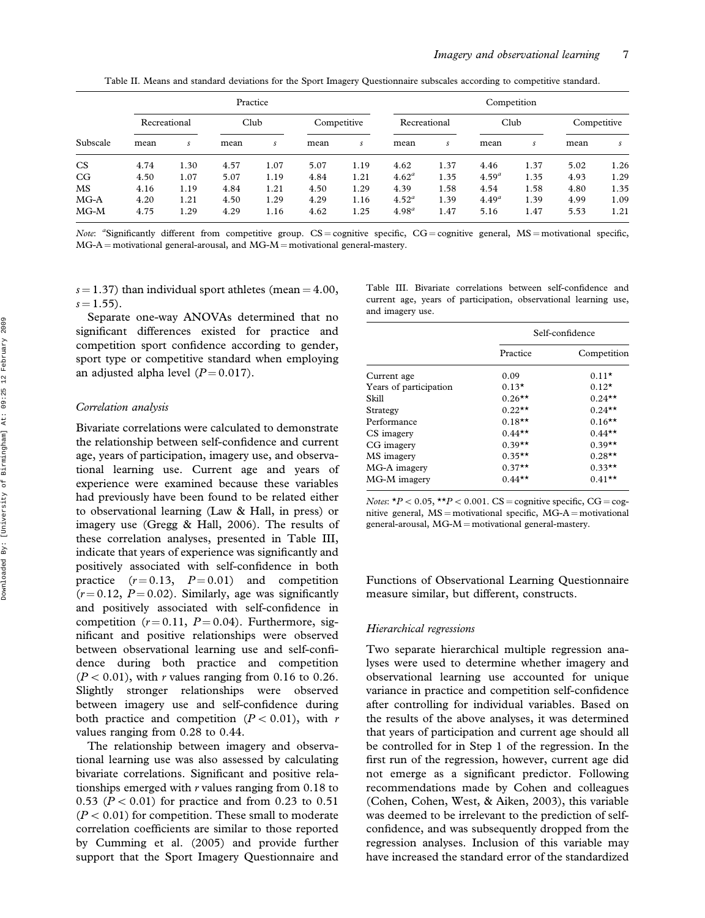Table II. Means and standard deviations for the Sport Imagery Questionnaire subscales according to competitive standard.

|           |              | Practice |      |      |             |      |                | Competition |            |      |             |      |
|-----------|--------------|----------|------|------|-------------|------|----------------|-------------|------------|------|-------------|------|
|           | Recreational |          | Club |      | Competitive |      | Recreational   |             | Club       |      | Competitive |      |
| Subscale  | mean         | s        | mean | s    | mean        | s    | mean           | s           | mean       | s    | mean        | s    |
| CS        | 4.74         | 1.30     | 4.57 | 1.07 | 5.07        | 1.19 | 4.62           | 1.37        | 4.46       | 1.37 | 5.02        | 1.26 |
| CG        | 4.50         | 1.07     | 5.07 | 1.19 | 4.84        | 1.21 | $4.62^{\circ}$ | 1.35        | $4.59^{a}$ | 1.35 | 4.93        | 1.29 |
| <b>MS</b> | 4.16         | 1.19     | 4.84 | 1.21 | 4.50        | 1.29 | 4.39           | 1.58        | 4.54       | 1.58 | 4.80        | 1.35 |
| $MG-A$    | 4.20         | 1.21     | 4.50 | 1.29 | 4.29        | 1.16 | $4.52^{\circ}$ | 1.39        | $4.49^{a}$ | 1.39 | 4.99        | 1.09 |
| $MG-M$    | 4.75         | 1.29     | 4.29 | 1.16 | 4.62        | 1.25 | $4.98^{a}$     | 1.47        | 5.16       | 1.47 | 5.53        | 1.21 |

Note: "Significantly different from competitive group.  $CS =$  cognitive specific,  $CG =$  cognitive general,  $MS =$  motivational specific,  $MG-A =$  motivational general-arousal, and  $MG-M =$  motivational general-mastery.

 $s = 1.37$ ) than individual sport athletes (mean  $= 4.00$ ,  $s = 1.55$ ).

Separate one-way ANOVAs determined that no significant differences existed for practice and competition sport confidence according to gender, sport type or competitive standard when employing an adjusted alpha level  $(P = 0.017)$ .

#### Correlation analysis

Bivariate correlations were calculated to demonstrate the relationship between self-confidence and current age, years of participation, imagery use, and observational learning use. Current age and years of experience were examined because these variables had previously have been found to be related either to observational learning (Law & Hall, in press) or imagery use (Gregg & Hall, 2006). The results of these correlation analyses, presented in Table III, indicate that years of experience was significantly and positively associated with self-confidence in both practice  $(r=0.13, P=0.01)$  and competition  $(r = 0.12, P = 0.02)$ . Similarly, age was significantly and positively associated with self-confidence in competition  $(r = 0.11, P = 0.04)$ . Furthermore, significant and positive relationships were observed between observational learning use and self-confidence during both practice and competition  $(P < 0.01)$ , with r values ranging from 0.16 to 0.26. Slightly stronger relationships were observed between imagery use and self-confidence during both practice and competition  $(P < 0.01)$ , with r values ranging from 0.28 to 0.44.

The relationship between imagery and observational learning use was also assessed by calculating bivariate correlations. Significant and positive relationships emerged with  $r$  values ranging from  $0.18$  to 0.53 ( $P < 0.01$ ) for practice and from 0.23 to 0.51  $(P< 0.01)$  for competition. These small to moderate correlation coefficients are similar to those reported by Cumming et al. (2005) and provide further support that the Sport Imagery Questionnaire and

|                  |  | Table III. Bivariate correlations between self-confidence and    |  |  |  |
|------------------|--|------------------------------------------------------------------|--|--|--|
|                  |  | current age, years of participation, observational learning use, |  |  |  |
| and imagery use. |  |                                                                  |  |  |  |

|                        | Self-confidence |             |  |  |  |  |
|------------------------|-----------------|-------------|--|--|--|--|
|                        | Practice        | Competition |  |  |  |  |
| Current age            | 0.09            | $0.11*$     |  |  |  |  |
| Years of participation | $0.13*$         | $0.12*$     |  |  |  |  |
| Skill                  | $0.26**$        | $0.24**$    |  |  |  |  |
| Strategy               | $0.22**$        | $0.24***$   |  |  |  |  |
| Performance            | $0.18**$        | $0.16***$   |  |  |  |  |
| CS imagery             | $0.44***$       | $0.44***$   |  |  |  |  |
| CG imagery             | $0.39**$        | $0.39**$    |  |  |  |  |
| MS imagery             | $0.35***$       | $0.28**$    |  |  |  |  |
| MG-A imagery           | $0.37**$        | $0.33**$    |  |  |  |  |
| MG-M imagery           | $0.44***$       | $0.41**$    |  |  |  |  |

*Notes*:  $*P < 0.05$ ,  $**P < 0.001$ . CS = cognitive specific, CG = cognitive general,  $MS =$  motivational specific,  $MG-A =$  motivational general-arousal,  $MG-M =$  motivational general-mastery.

Functions of Observational Learning Questionnaire measure similar, but different, constructs.

#### Hierarchical regressions

Two separate hierarchical multiple regression analyses were used to determine whether imagery and observational learning use accounted for unique variance in practice and competition self-confidence after controlling for individual variables. Based on the results of the above analyses, it was determined that years of participation and current age should all be controlled for in Step 1 of the regression. In the first run of the regression, however, current age did not emerge as a significant predictor. Following recommendations made by Cohen and colleagues (Cohen, Cohen, West, & Aiken, 2003), this variable was deemed to be irrelevant to the prediction of selfconfidence, and was subsequently dropped from the regression analyses. Inclusion of this variable may have increased the standard error of the standardized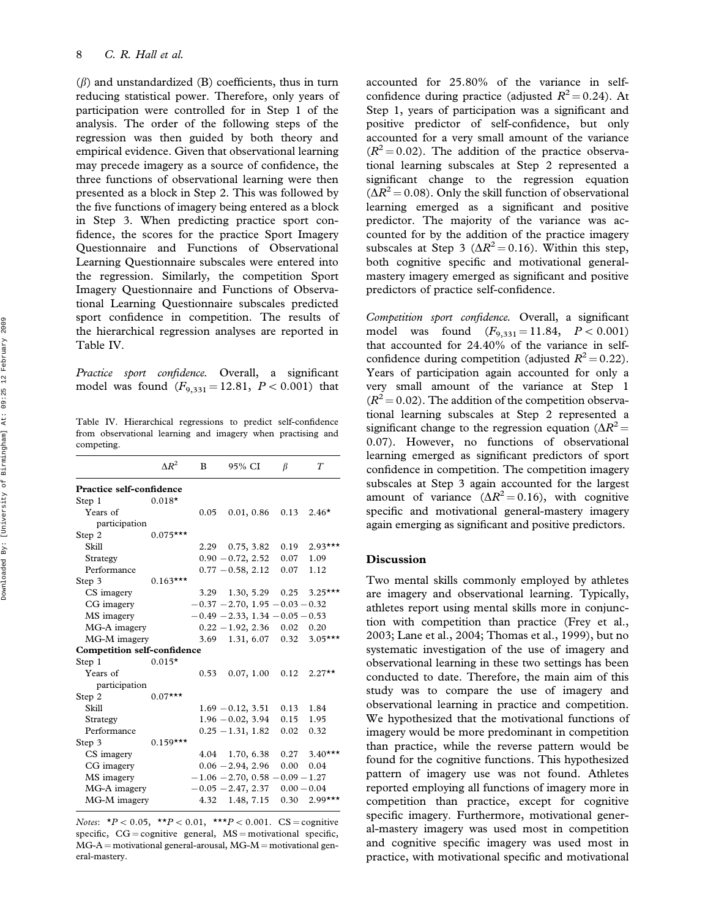$(\beta)$  and unstandardized  $(B)$  coefficients, thus in turn reducing statistical power. Therefore, only years of participation were controlled for in Step 1 of the analysis. The order of the following steps of the regression was then guided by both theory and empirical evidence. Given that observational learning may precede imagery as a source of confidence, the three functions of observational learning were then presented as a block in Step 2. This was followed by the five functions of imagery being entered as a block in Step 3. When predicting practice sport confidence, the scores for the practice Sport Imagery Questionnaire and Functions of Observational Learning Questionnaire subscales were entered into the regression. Similarly, the competition Sport Imagery Questionnaire and Functions of Observational Learning Questionnaire subscales predicted sport confidence in competition. The results of the hierarchical regression analyses are reported in Table IV.

Practice sport confidence. Overall, a significant model was found  $(F_{9,331} = 12.81, P < 0.001)$  that

Table IV. Hierarchical regressions to predict self-confidence from observational learning and imagery when practising and competing.

|                                    | $\Lambda R^2$ | B    | 95% CI                               | β    | T             |
|------------------------------------|---------------|------|--------------------------------------|------|---------------|
| Practice self-confidence           |               |      |                                      |      |               |
| Step 1                             | $0.018*$      |      |                                      |      |               |
| Years of                           |               | 0.05 | 0.01, 0.86                           | 0.13 | $2.46*$       |
| participation                      |               |      |                                      |      |               |
| Step 2                             | $0.075***$    |      |                                      |      |               |
| <b>Skill</b>                       |               |      | $2.29$ 0.75, 3.82                    | 0.19 | $2.93***$     |
| Strategy                           |               |      | $0.90 - 0.72, 2.52$                  | 0.07 | 1.09          |
| Performance                        |               |      | $0.77 - 0.58$ , 2.12                 | 0.07 | 1.12          |
| Step 3                             | $0.163***$    |      |                                      |      |               |
| CS imagery                         |               |      | $3.29$ 1.30, 5.29                    | 0.25 | $3.25***$     |
| CG imagery                         |               |      | $-0.37 - 2.70$ , 1.95 $-0.03 - 0.32$ |      |               |
| MS imagery                         |               |      | $-0.49 - 2.33$ , 1.34 $-0.05 - 0.53$ |      |               |
| MG-A imagery                       |               |      | $0.22 - 1.92, 2.36$                  | 0.02 | 0.20          |
| MG-M imagery                       |               |      | $3.69$ 1.31, 6.07                    | 0.32 | $3.05***$     |
| <b>Competition self-confidence</b> |               |      |                                      |      |               |
| Step 1                             | $0.015*$      |      |                                      |      |               |
| Years of                           |               | 0.53 | 0.07, 1.00                           | 0.12 | $2.27**$      |
| participation                      |               |      |                                      |      |               |
| Step 2                             | $0.07***$     |      |                                      |      |               |
| <b>Skill</b>                       |               |      | $1.69 - 0.12, 3.51$                  | 0.13 | 1.84          |
| Strategy                           |               |      | $1.96 - 0.02, 3.94$                  | 0.15 | 1.95          |
| Performance                        |               |      | $0.25 - 1.31$ , 1.82                 | 0.02 | 0.32          |
| Step 3                             | $0.159***$    |      |                                      |      |               |
| CS imagery                         |               |      | 4.04 1.70, 6.38                      | 0.27 | $3.40***$     |
| CG imagery                         |               |      | $0.06 - 2.94, 2.96$                  | 0.00 | 0.04          |
| MS imagery                         |               |      | $-1.06 - 2.70$ , 0.58 $-0.09 - 1.27$ |      |               |
| MG-A imagery                       |               |      | $-0.05 - 2.47, 2.37$                 |      | $0.00 - 0.04$ |
| MG-M imagery                       |               |      | 4.32 1.48, 7.15                      | 0.30 | $2.99***$     |

*Notes:*  $*P < 0.05$ ,  $*P < 0.01$ ,  $*P < 0.001$ . CS = cognitive specific,  $CG =$  cognitive general,  $MS =$  motivational specific,  $MG-A =$  motivational general-arousal,  $MG-M =$  motivational general-mastery.

accounted for 25.80% of the variance in selfconfidence during practice (adjusted  $R^2 = 0.24$ ). At Step 1, years of participation was a significant and positive predictor of self-confidence, but only accounted for a very small amount of the variance  $(R^2 = 0.02)$ . The addition of the practice observational learning subscales at Step 2 represented a significant change to the regression equation  $(\Delta R^2 = 0.08)$ . Only the skill function of observational learning emerged as a significant and positive predictor. The majority of the variance was accounted for by the addition of the practice imagery subscales at Step 3 ( $\Delta R^2 = 0.16$ ). Within this step, both cognitive specific and motivational generalmastery imagery emerged as significant and positive predictors of practice self-confidence.

Competition sport confidence. Overall, a significant model was found  $(F_{9,331} = 11.84, P < 0.001)$ that accounted for 24.40% of the variance in selfconfidence during competition (adjusted  $R^2 = 0.22$ ). Years of participation again accounted for only a very small amount of the variance at Step 1  $(R^2 = 0.02)$ . The addition of the competition observational learning subscales at Step 2 represented a significant change to the regression equation ( $\Delta R^2$  = 0.07). However, no functions of observational learning emerged as significant predictors of sport confidence in competition. The competition imagery subscales at Step 3 again accounted for the largest amount of variance  $(\Delta R^2 = 0.16)$ , with cognitive specific and motivational general-mastery imagery again emerging as significant and positive predictors.

### Discussion

Two mental skills commonly employed by athletes are imagery and observational learning. Typically, athletes report using mental skills more in conjunction with competition than practice (Frey et al., 2003; Lane et al., 2004; Thomas et al., 1999), but no systematic investigation of the use of imagery and observational learning in these two settings has been conducted to date. Therefore, the main aim of this study was to compare the use of imagery and observational learning in practice and competition. We hypothesized that the motivational functions of imagery would be more predominant in competition than practice, while the reverse pattern would be found for the cognitive functions. This hypothesized pattern of imagery use was not found. Athletes reported employing all functions of imagery more in competition than practice, except for cognitive specific imagery. Furthermore, motivational general-mastery imagery was used most in competition and cognitive specific imagery was used most in practice, with motivational specific and motivational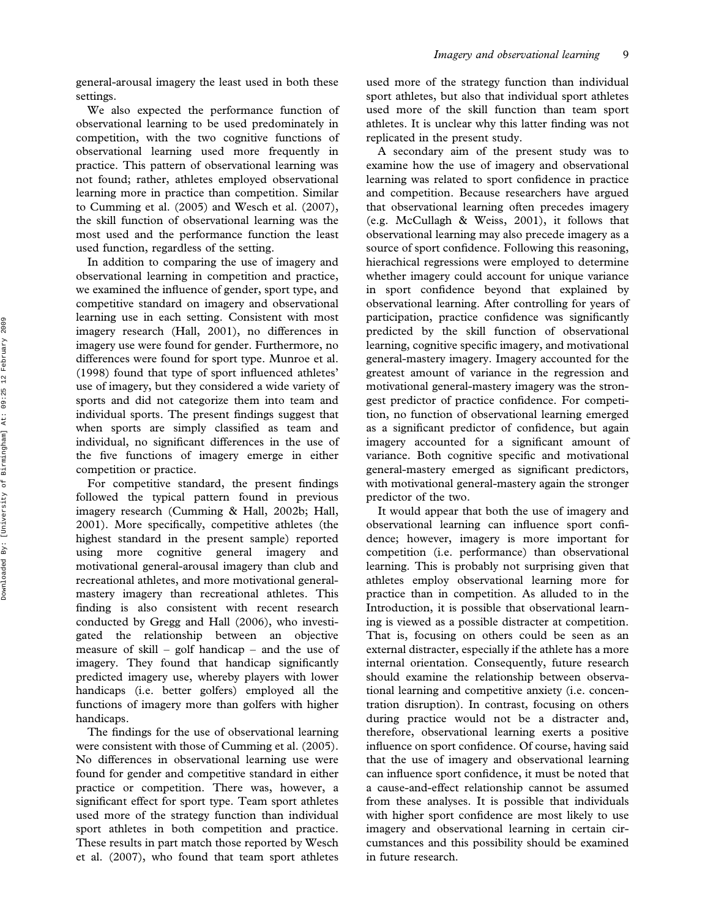general-arousal imagery the least used in both these settings.

We also expected the performance function of observational learning to be used predominately in competition, with the two cognitive functions of observational learning used more frequently in practice. This pattern of observational learning was not found; rather, athletes employed observational learning more in practice than competition. Similar to Cumming et al. (2005) and Wesch et al. (2007), the skill function of observational learning was the most used and the performance function the least used function, regardless of the setting.

In addition to comparing the use of imagery and observational learning in competition and practice, we examined the influence of gender, sport type, and competitive standard on imagery and observational learning use in each setting. Consistent with most imagery research (Hall, 2001), no differences in imagery use were found for gender. Furthermore, no differences were found for sport type. Munroe et al. (1998) found that type of sport influenced athletes' use of imagery, but they considered a wide variety of sports and did not categorize them into team and individual sports. The present findings suggest that when sports are simply classified as team and individual, no significant differences in the use of the five functions of imagery emerge in either competition or practice.

For competitive standard, the present findings followed the typical pattern found in previous imagery research (Cumming & Hall, 2002b; Hall, 2001). More specifically, competitive athletes (the highest standard in the present sample) reported using more cognitive general imagery and motivational general-arousal imagery than club and recreational athletes, and more motivational generalmastery imagery than recreational athletes. This finding is also consistent with recent research conducted by Gregg and Hall (2006), who investigated the relationship between an objective measure of skill – golf handicap – and the use of imagery. They found that handicap significantly predicted imagery use, whereby players with lower handicaps (i.e. better golfers) employed all the functions of imagery more than golfers with higher handicaps.

The findings for the use of observational learning were consistent with those of Cumming et al. (2005). No differences in observational learning use were found for gender and competitive standard in either practice or competition. There was, however, a significant effect for sport type. Team sport athletes used more of the strategy function than individual sport athletes in both competition and practice. These results in part match those reported by Wesch et al. (2007), who found that team sport athletes

used more of the strategy function than individual sport athletes, but also that individual sport athletes used more of the skill function than team sport athletes. It is unclear why this latter finding was not replicated in the present study.

A secondary aim of the present study was to examine how the use of imagery and observational learning was related to sport confidence in practice and competition. Because researchers have argued that observational learning often precedes imagery (e.g. McCullagh & Weiss, 2001), it follows that observational learning may also precede imagery as a source of sport confidence. Following this reasoning, hierachical regressions were employed to determine whether imagery could account for unique variance in sport confidence beyond that explained by observational learning. After controlling for years of participation, practice confidence was significantly predicted by the skill function of observational learning, cognitive specific imagery, and motivational general-mastery imagery. Imagery accounted for the greatest amount of variance in the regression and motivational general-mastery imagery was the strongest predictor of practice confidence. For competition, no function of observational learning emerged as a significant predictor of confidence, but again imagery accounted for a significant amount of variance. Both cognitive specific and motivational general-mastery emerged as significant predictors, with motivational general-mastery again the stronger predictor of the two.

It would appear that both the use of imagery and observational learning can influence sport confidence; however, imagery is more important for competition (i.e. performance) than observational learning. This is probably not surprising given that athletes employ observational learning more for practice than in competition. As alluded to in the Introduction, it is possible that observational learning is viewed as a possible distracter at competition. That is, focusing on others could be seen as an external distracter, especially if the athlete has a more internal orientation. Consequently, future research should examine the relationship between observational learning and competitive anxiety (i.e. concentration disruption). In contrast, focusing on others during practice would not be a distracter and, therefore, observational learning exerts a positive influence on sport confidence. Of course, having said that the use of imagery and observational learning can influence sport confidence, it must be noted that a cause-and-effect relationship cannot be assumed from these analyses. It is possible that individuals with higher sport confidence are most likely to use imagery and observational learning in certain circumstances and this possibility should be examined in future research.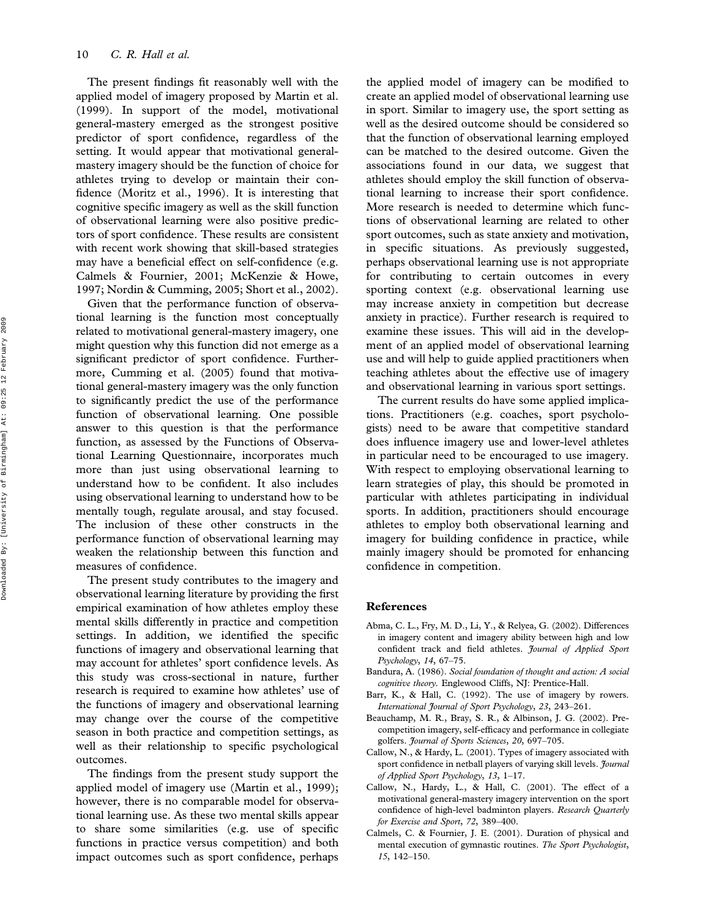The present findings fit reasonably well with the applied model of imagery proposed by Martin et al. (1999). In support of the model, motivational general-mastery emerged as the strongest positive predictor of sport confidence, regardless of the setting. It would appear that motivational generalmastery imagery should be the function of choice for athletes trying to develop or maintain their confidence (Moritz et al., 1996). It is interesting that cognitive specific imagery as well as the skill function of observational learning were also positive predictors of sport confidence. These results are consistent with recent work showing that skill-based strategies may have a beneficial effect on self-confidence (e.g. Calmels & Fournier, 2001; McKenzie & Howe, 1997; Nordin & Cumming, 2005; Short et al., 2002).

Given that the performance function of observational learning is the function most conceptually related to motivational general-mastery imagery, one might question why this function did not emerge as a significant predictor of sport confidence. Furthermore, Cumming et al. (2005) found that motivational general-mastery imagery was the only function to significantly predict the use of the performance function of observational learning. One possible answer to this question is that the performance function, as assessed by the Functions of Observational Learning Questionnaire, incorporates much more than just using observational learning to understand how to be confident. It also includes using observational learning to understand how to be mentally tough, regulate arousal, and stay focused. The inclusion of these other constructs in the performance function of observational learning may weaken the relationship between this function and measures of confidence.

The present study contributes to the imagery and observational learning literature by providing the first empirical examination of how athletes employ these mental skills differently in practice and competition settings. In addition, we identified the specific functions of imagery and observational learning that may account for athletes' sport confidence levels. As this study was cross-sectional in nature, further research is required to examine how athletes' use of the functions of imagery and observational learning may change over the course of the competitive season in both practice and competition settings, as well as their relationship to specific psychological outcomes.

The findings from the present study support the applied model of imagery use (Martin et al., 1999); however, there is no comparable model for observational learning use. As these two mental skills appear to share some similarities (e.g. use of specific functions in practice versus competition) and both impact outcomes such as sport confidence, perhaps

the applied model of imagery can be modified to create an applied model of observational learning use in sport. Similar to imagery use, the sport setting as well as the desired outcome should be considered so that the function of observational learning employed can be matched to the desired outcome. Given the associations found in our data, we suggest that athletes should employ the skill function of observational learning to increase their sport confidence. More research is needed to determine which functions of observational learning are related to other sport outcomes, such as state anxiety and motivation, in specific situations. As previously suggested, perhaps observational learning use is not appropriate for contributing to certain outcomes in every sporting context (e.g. observational learning use may increase anxiety in competition but decrease anxiety in practice). Further research is required to examine these issues. This will aid in the development of an applied model of observational learning use and will help to guide applied practitioners when teaching athletes about the effective use of imagery and observational learning in various sport settings.

The current results do have some applied implications. Practitioners (e.g. coaches, sport psychologists) need to be aware that competitive standard does influence imagery use and lower-level athletes in particular need to be encouraged to use imagery. With respect to employing observational learning to learn strategies of play, this should be promoted in particular with athletes participating in individual sports. In addition, practitioners should encourage athletes to employ both observational learning and imagery for building confidence in practice, while mainly imagery should be promoted for enhancing confidence in competition.

### References

- Abma, C. L., Fry, M. D., Li, Y., & Relyea, G. (2002). Differences in imagery content and imagery ability between high and low confident track and field athletes. Journal of Applied Sport Psychology, 14, 67–75.
- Bandura, A. (1986). Social foundation of thought and action: A social cognitive theory. Englewood Cliffs, NJ: Prentice-Hall.
- Barr, K., & Hall, C. (1992). The use of imagery by rowers. International Journal of Sport Psychology, 23, 243–261.
- Beauchamp, M. R., Bray, S. R., & Albinson, J. G. (2002). Precompetition imagery, self-efficacy and performance in collegiate golfers. Journal of Sports Sciences, 20, 697-705.
- Callow, N., & Hardy, L. (2001). Types of imagery associated with sport confidence in netball players of varying skill levels. *Journal* of Applied Sport Psychology, 13, 1–17.
- Callow, N., Hardy, L., & Hall, C. (2001). The effect of a motivational general-mastery imagery intervention on the sport confidence of high-level badminton players. Research Quarterly for Exercise and Sport, 72, 389–400.
- Calmels, C. & Fournier, J. E. (2001). Duration of physical and mental execution of gymnastic routines. The Sport Psychologist, 15, 142–150.